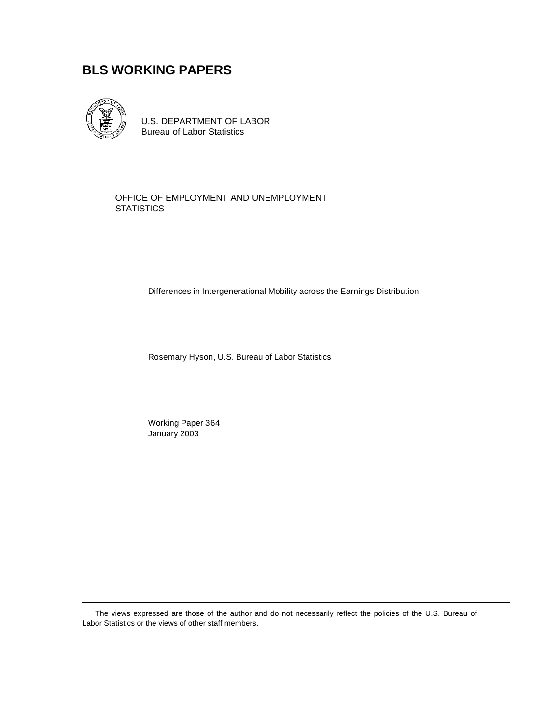# **BLS WORKING PAPERS**



U.S. DEPARTMENT OF LABOR Bureau of Labor Statistics

OFFICE OF EMPLOYMENT AND UNEMPLOYMENT **STATISTICS** 

Differences in Intergenerational Mobility across the Earnings Distribution

Rosemary Hyson, U.S. Bureau of Labor Statistics

Working Paper 364 January 2003

The views expressed are those of the author and do not necessarily reflect the policies of the U.S. Bureau of Labor Statistics or the views of other staff members.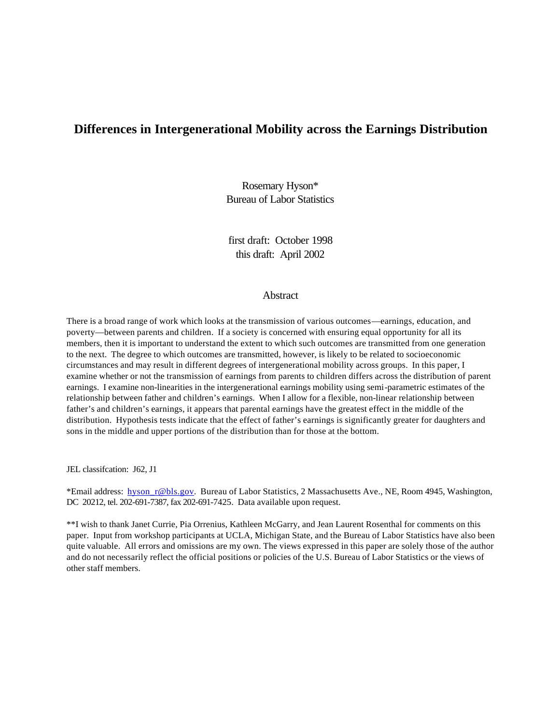# **Differences in Intergenerational Mobility across the Earnings Distribution**

Rosemary Hyson\* Bureau of Labor Statistics

first draft: October 1998 this draft: April 2002

#### **Abstract**

There is a broad range of work which looks at the transmission of various outcomes—earnings, education, and poverty—between parents and children. If a society is concerned with ensuring equal opportunity for all its members, then it is important to understand the extent to which such outcomes are transmitted from one generation to the next. The degree to which outcomes are transmitted, however, is likely to be related to socioeconomic circumstances and may result in different degrees of intergenerational mobility across groups. In this paper, I examine whether or not the transmission of earnings from parents to children differs across the distribution of parent earnings. I examine non-linearities in the intergenerational earnings mobility using semi-parametric estimates of the relationship between father and children's earnings. When I allow for a flexible, non-linear relationship between father's and children's earnings, it appears that parental earnings have the greatest effect in the middle of the distribution. Hypothesis tests indicate that the effect of father's earnings is significantly greater for daughters and sons in the middle and upper portions of the distribution than for those at the bottom.

JEL classifcation: J62, J1

\*Email address: hyson\_r@bls.gov. Bureau of Labor Statistics, 2 Massachusetts Ave., NE, Room 4945, Washington, DC 20212, tel. 202-691-7387, fax 202-691-7425. Data available upon request.

\*\*I wish to thank Janet Currie, Pia Orrenius, Kathleen McGarry, and Jean Laurent Rosenthal for comments on this paper. Input from workshop participants at UCLA, Michigan State, and the Bureau of Labor Statistics have also been quite valuable. All errors and omissions are my own. The views expressed in this paper are solely those of the author and do not necessarily reflect the official positions or policies of the U.S. Bureau of Labor Statistics or the views of other staff members.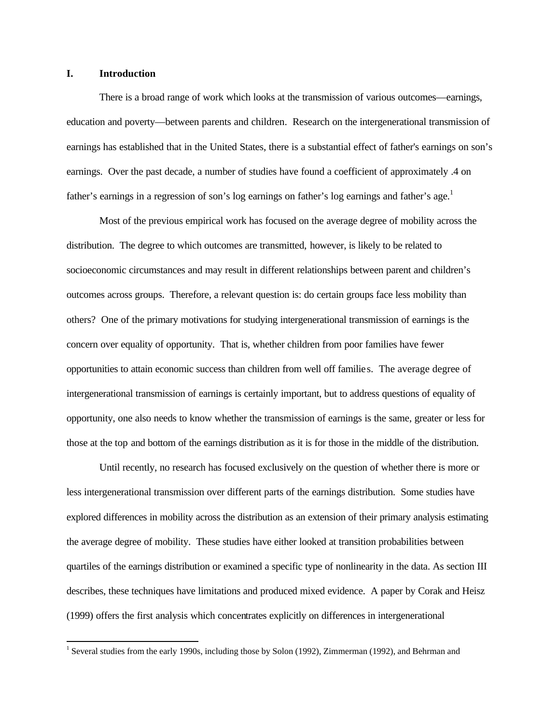#### **I. Introduction**

l

There is a broad range of work which looks at the transmission of various outcomes—earnings, education and poverty—between parents and children. Research on the intergenerational transmission of earnings has established that in the United States, there is a substantial effect of father's earnings on son's earnings. Over the past decade, a number of studies have found a coefficient of approximately .4 on father's earnings in a regression of son's log earnings on father's log earnings and father's age.<sup>1</sup>

Most of the previous empirical work has focused on the average degree of mobility across the distribution. The degree to which outcomes are transmitted, however, is likely to be related to socioeconomic circumstances and may result in different relationships between parent and children's outcomes across groups. Therefore, a relevant question is: do certain groups face less mobility than others? One of the primary motivations for studying intergenerational transmission of earnings is the concern over equality of opportunity. That is, whether children from poor families have fewer opportunities to attain economic success than children from well off familie s. The average degree of intergenerational transmission of earnings is certainly important, but to address questions of equality of opportunity, one also needs to know whether the transmission of earnings is the same, greater or less for those at the top and bottom of the earnings distribution as it is for those in the middle of the distribution.

Until recently, no research has focused exclusively on the question of whether there is more or less intergenerational transmission over different parts of the earnings distribution. Some studies have explored differences in mobility across the distribution as an extension of their primary analysis estimating the average degree of mobility. These studies have either looked at transition probabilities between quartiles of the earnings distribution or examined a specific type of nonlinearity in the data. As section III describes, these techniques have limitations and produced mixed evidence. A paper by Corak and Heisz (1999) offers the first analysis which concentrates explicitly on differences in intergenerational

<sup>&</sup>lt;sup>1</sup> Several studies from the early 1990s, including those by Solon (1992), Zimmerman (1992), and Behrman and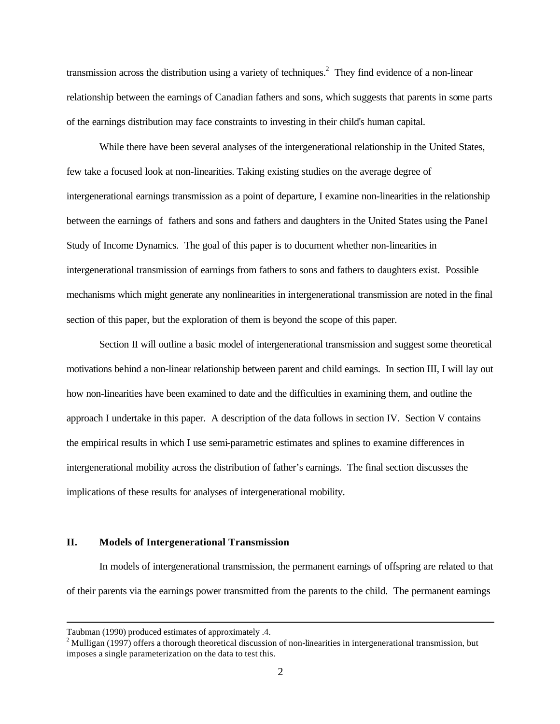transmission across the distribution using a variety of techniques.<sup>2</sup> They find evidence of a non-linear relationship between the earnings of Canadian fathers and sons, which suggests that parents in some parts of the earnings distribution may face constraints to investing in their child's human capital.

While there have been several analyses of the intergenerational relationship in the United States, few take a focused look at non-linearities. Taking existing studies on the average degree of intergenerational earnings transmission as a point of departure, I examine non-linearities in the relationship between the earnings of fathers and sons and fathers and daughters in the United States using the Panel Study of Income Dynamics. The goal of this paper is to document whether non-linearities in intergenerational transmission of earnings from fathers to sons and fathers to daughters exist. Possible mechanisms which might generate any nonlinearities in intergenerational transmission are noted in the final section of this paper, but the exploration of them is beyond the scope of this paper.

Section II will outline a basic model of intergenerational transmission and suggest some theoretical motivations behind a non-linear relationship between parent and child earnings. In section III, I will lay out how non-linearities have been examined to date and the difficulties in examining them, and outline the approach I undertake in this paper. A description of the data follows in section IV. Section V contains the empirical results in which I use semi-parametric estimates and splines to examine differences in intergenerational mobility across the distribution of father's earnings. The final section discusses the implications of these results for analyses of intergenerational mobility.

#### **II. Models of Intergenerational Transmission**

In models of intergenerational transmission, the permanent earnings of offspring are related to that of their parents via the earnings power transmitted from the parents to the child. The permanent earnings

Taubman (1990) produced estimates of approximately .4.

 $2$  Mulligan (1997) offers a thorough theoretical discussion of non-linearities in intergenerational transmission, but imposes a single parameterization on the data to test this.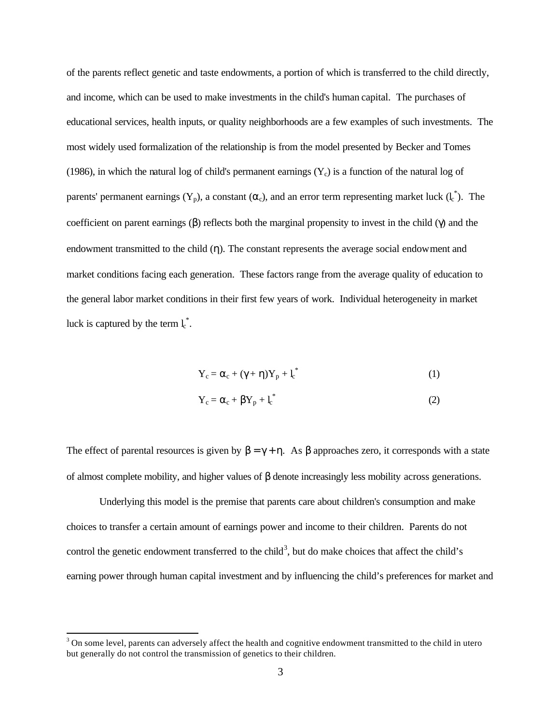of the parents reflect genetic and taste endowments, a portion of which is transferred to the child directly, and income, which can be used to make investments in the child's human capital. The purchases of educational services, health inputs, or quality neighborhoods are a few examples of such investments. The most widely used formalization of the relationship is from the model presented by Becker and Tomes (1986), in which the natural log of child's permanent earnings  $(Y_c)$  is a function of the natural log of parents' permanent earnings  $(Y_p)$ , a constant  $(\alpha_c)$ , and an error term representing market luck  $(l_c^*)$ . The coefficient on parent earnings ( $\beta$ ) reflects both the marginal propensity to invest in the child ( $\gamma$ ) and the endowment transmitted to the child (η). The constant represents the average social endowment and market conditions facing each generation. These factors range from the average quality of education to the general labor market conditions in their first few years of work. Individual heterogeneity in market luck is captured by the term  $l_c^*$ .

$$
Y_c = \alpha_c + (\gamma + \eta)Y_p + l_c^* \tag{1}
$$

$$
Y_c = \alpha_c + \beta Y_p + l_c^* \tag{2}
$$

The effect of parental resources is given by  $\beta = \gamma + \eta$ . As  $\beta$  approaches zero, it corresponds with a state of almost complete mobility, and higher values of β denote increasingly less mobility across generations.

Underlying this model is the premise that parents care about children's consumption and make choices to transfer a certain amount of earnings power and income to their children. Parents do not control the genetic endowment transferred to the child<sup>3</sup>, but do make choices that affect the child's earning power through human capital investment and by influencing the child's preferences for market and

 $3$  On some level, parents can adversely affect the health and cognitive endowment transmitted to the child in utero but generally do not control the transmission of genetics to their children.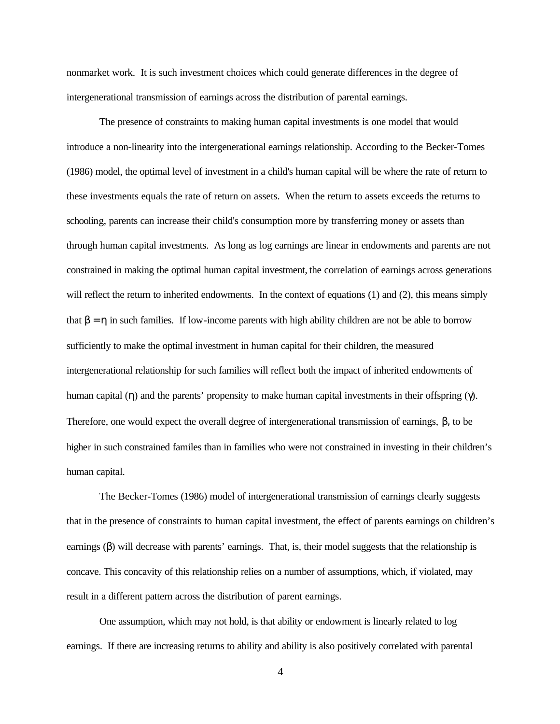nonmarket work. It is such investment choices which could generate differences in the degree of intergenerational transmission of earnings across the distribution of parental earnings.

The presence of constraints to making human capital investments is one model that would introduce a non-linearity into the intergenerational earnings relationship. According to the Becker-Tomes (1986) model, the optimal level of investment in a child's human capital will be where the rate of return to these investments equals the rate of return on assets. When the return to assets exceeds the returns to schooling, parents can increase their child's consumption more by transferring money or assets than through human capital investments. As long as log earnings are linear in endowments and parents are not constrained in making the optimal human capital investment, the correlation of earnings across generations will reflect the return to inherited endowments. In the context of equations (1) and (2), this means simply that  $β = η$  in such families. If low-income parents with high ability children are not be able to borrow sufficiently to make the optimal investment in human capital for their children, the measured intergenerational relationship for such families will reflect both the impact of inherited endowments of human capital (η) and the parents' propensity to make human capital investments in their offspring (γ). Therefore, one would expect the overall degree of intergenerational transmission of earnings, β, to be higher in such constrained familes than in families who were not constrained in investing in their children's human capital.

The Becker-Tomes (1986) model of intergenerational transmission of earnings clearly suggests that in the presence of constraints to human capital investment, the effect of parents earnings on children's earnings (β) will decrease with parents' earnings. That, is, their model suggests that the relationship is concave. This concavity of this relationship relies on a number of assumptions, which, if violated, may result in a different pattern across the distribution of parent earnings.

One assumption, which may not hold, is that ability or endowment is linearly related to log earnings. If there are increasing returns to ability and ability is also positively correlated with parental

4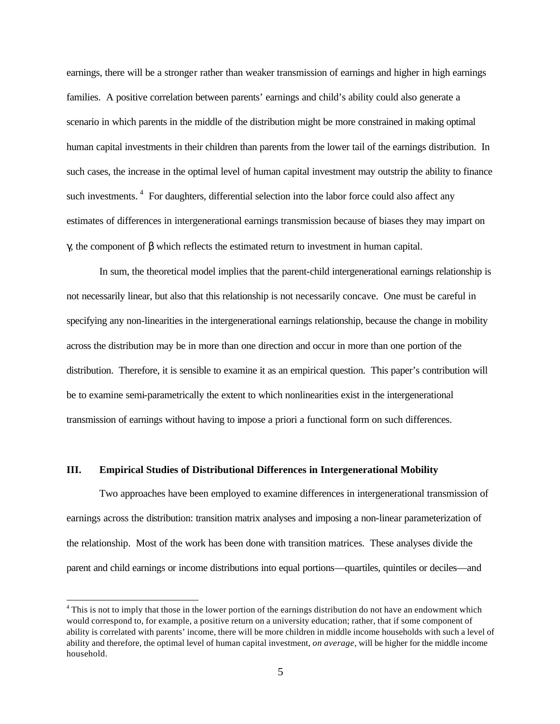earnings, there will be a stronger rather than weaker transmission of earnings and higher in high earnings families. A positive correlation between parents' earnings and child's ability could also generate a scenario in which parents in the middle of the distribution might be more constrained in making optimal human capital investments in their children than parents from the lower tail of the earnings distribution. In such cases, the increase in the optimal level of human capital investment may outstrip the ability to finance such investments.<sup>4</sup> For daughters, differential selection into the labor force could also affect any estimates of differences in intergenerational earnings transmission because of biases they may impart on γ, the component of β which reflects the estimated return to investment in human capital.

In sum, the theoretical model implies that the parent-child intergenerational earnings relationship is not necessarily linear, but also that this relationship is not necessarily concave. One must be careful in specifying any non-linearities in the intergenerational earnings relationship, because the change in mobility across the distribution may be in more than one direction and occur in more than one portion of the distribution. Therefore, it is sensible to examine it as an empirical question. This paper's contribution will be to examine semi-parametrically the extent to which nonlinearities exist in the intergenerational transmission of earnings without having to impose a priori a functional form on such differences.

### **III. Empirical Studies of Distributional Differences in Intergenerational Mobility**

l

Two approaches have been employed to examine differences in intergenerational transmission of earnings across the distribution: transition matrix analyses and imposing a non-linear parameterization of the relationship. Most of the work has been done with transition matrices. These analyses divide the parent and child earnings or income distributions into equal portions—quartiles, quintiles or deciles—and

<sup>&</sup>lt;sup>4</sup> This is not to imply that those in the lower portion of the earnings distribution do not have an endowment which would correspond to, for example, a positive return on a university education; rather, that if some component of ability is correlated with parents' income, there will be more children in middle income households with such a level of ability and therefore, the optimal level of human capital investment, *on average*, will be higher for the middle income household.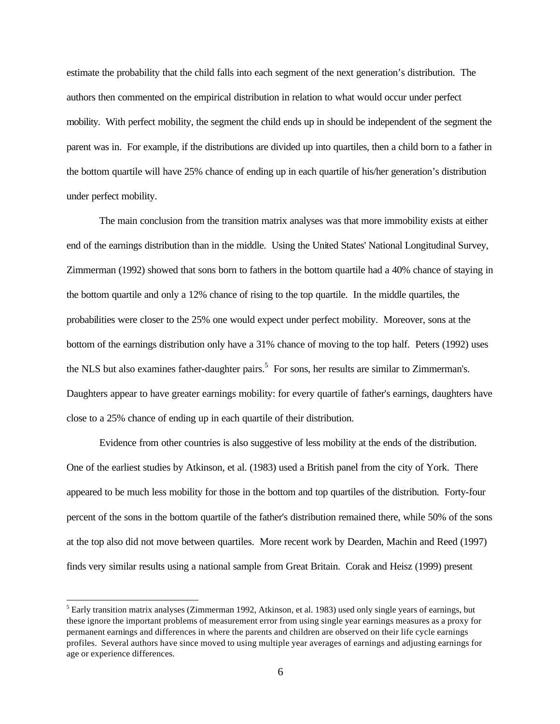estimate the probability that the child falls into each segment of the next generation's distribution. The authors then commented on the empirical distribution in relation to what would occur under perfect mobility. With perfect mobility, the segment the child ends up in should be independent of the segment the parent was in. For example, if the distributions are divided up into quartiles, then a child born to a father in the bottom quartile will have 25% chance of ending up in each quartile of his/her generation's distribution under perfect mobility.

The main conclusion from the transition matrix analyses was that more immobility exists at either end of the earnings distribution than in the middle. Using the United States' National Longitudinal Survey, Zimmerman (1992) showed that sons born to fathers in the bottom quartile had a 40% chance of staying in the bottom quartile and only a 12% chance of rising to the top quartile. In the middle quartiles, the probabilities were closer to the 25% one would expect under perfect mobility. Moreover, sons at the bottom of the earnings distribution only have a 31% chance of moving to the top half. Peters (1992) uses the NLS but also examines father-daughter pairs.<sup>5</sup> For sons, her results are similar to Zimmerman's. Daughters appear to have greater earnings mobility: for every quartile of father's earnings, daughters have close to a 25% chance of ending up in each quartile of their distribution.

Evidence from other countries is also suggestive of less mobility at the ends of the distribution. One of the earliest studies by Atkinson, et al. (1983) used a British panel from the city of York. There appeared to be much less mobility for those in the bottom and top quartiles of the distribution. Forty-four percent of the sons in the bottom quartile of the father's distribution remained there, while 50% of the sons at the top also did not move between quartiles. More recent work by Dearden, Machin and Reed (1997) finds very similar results using a national sample from Great Britain. Corak and Heisz (1999) present

<sup>&</sup>lt;sup>5</sup> Early transition matrix analyses (Zimmerman 1992, Atkinson, et al. 1983) used only single years of earnings, but these ignore the important problems of measurement error from using single year earnings measures as a proxy for permanent earnings and differences in where the parents and children are observed on their life cycle earnings profiles. Several authors have since moved to using multiple year averages of earnings and adjusting earnings for age or experience differences.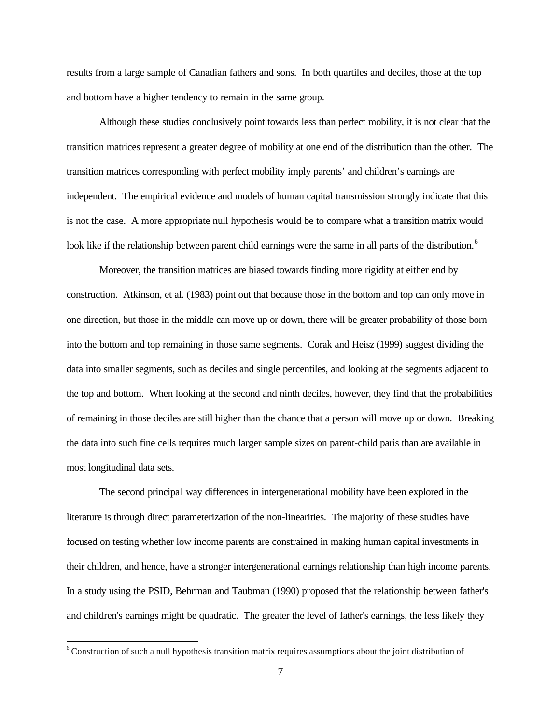results from a large sample of Canadian fathers and sons. In both quartiles and deciles, those at the top and bottom have a higher tendency to remain in the same group.

Although these studies conclusively point towards less than perfect mobility, it is not clear that the transition matrices represent a greater degree of mobility at one end of the distribution than the other. The transition matrices corresponding with perfect mobility imply parents' and children's earnings are independent. The empirical evidence and models of human capital transmission strongly indicate that this is not the case. A more appropriate null hypothesis would be to compare what a transition matrix would look like if the relationship between parent child earnings were the same in all parts of the distribution.<sup>6</sup>

Moreover, the transition matrices are biased towards finding more rigidity at either end by construction. Atkinson, et al. (1983) point out that because those in the bottom and top can only move in one direction, but those in the middle can move up or down, there will be greater probability of those born into the bottom and top remaining in those same segments. Corak and Heisz (1999) suggest dividing the data into smaller segments, such as deciles and single percentiles, and looking at the segments adjacent to the top and bottom. When looking at the second and ninth deciles, however, they find that the probabilities of remaining in those deciles are still higher than the chance that a person will move up or down. Breaking the data into such fine cells requires much larger sample sizes on parent-child paris than are available in most longitudinal data sets.

The second principal way differences in intergenerational mobility have been explored in the literature is through direct parameterization of the non-linearities. The majority of these studies have focused on testing whether low income parents are constrained in making human capital investments in their children, and hence, have a stronger intergenerational earnings relationship than high income parents. In a study using the PSID, Behrman and Taubman (1990) proposed that the relationship between father's and children's earnings might be quadratic. The greater the level of father's earnings, the less likely they

<sup>&</sup>lt;sup>6</sup> Construction of such a null hypothesis transition matrix requires assumptions about the joint distribution of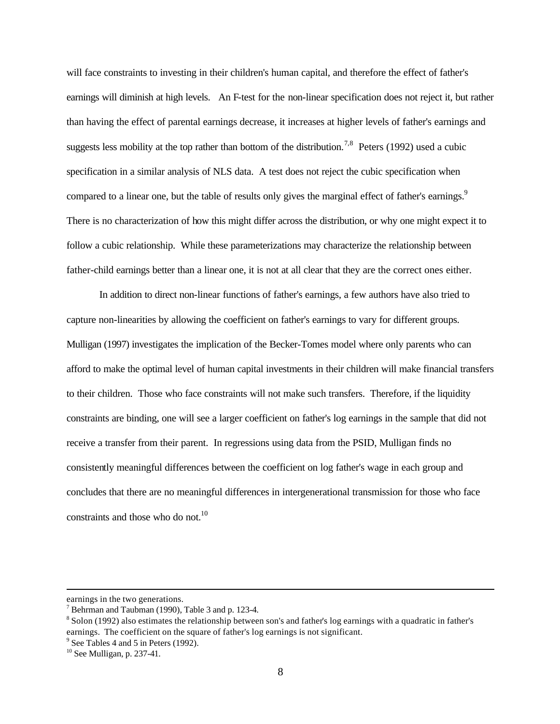will face constraints to investing in their children's human capital, and therefore the effect of father's earnings will diminish at high levels. An F-test for the non-linear specification does not reject it, but rather than having the effect of parental earnings decrease, it increases at higher levels of father's earnings and suggests less mobility at the top rather than bottom of the distribution.<sup>7,8</sup> Peters (1992) used a cubic specification in a similar analysis of NLS data. A test does not reject the cubic specification when compared to a linear one, but the table of results only gives the marginal effect of father's earnings.<sup>9</sup> There is no characterization of how this might differ across the distribution, or why one might expect it to follow a cubic relationship. While these parameterizations may characterize the relationship between father-child earnings better than a linear one, it is not at all clear that they are the correct ones either.

In addition to direct non-linear functions of father's earnings, a few authors have also tried to capture non-linearities by allowing the coefficient on father's earnings to vary for different groups. Mulligan (1997) investigates the implication of the Becker-Tomes model where only parents who can afford to make the optimal level of human capital investments in their children will make financial transfers to their children. Those who face constraints will not make such transfers. Therefore, if the liquidity constraints are binding, one will see a larger coefficient on father's log earnings in the sample that did not receive a transfer from their parent. In regressions using data from the PSID, Mulligan finds no consistently meaningful differences between the coefficient on log father's wage in each group and concludes that there are no meaningful differences in intergenerational transmission for those who face constraints and those who do not.<sup>10</sup>

earnings in the two generations.

<sup>&</sup>lt;sup>7</sup> Behrman and Taubman (1990), Table 3 and p. 123-4.

<sup>&</sup>lt;sup>8</sup> Solon (1992) also estimates the relationship between son's and father's log earnings with a quadratic in father's earnings. The coefficient on the square of father's log earnings is not significant.

<sup>&</sup>lt;sup>9</sup> See Tables 4 and 5 in Peters (1992).

 $10$  See Mulligan, p. 237-41.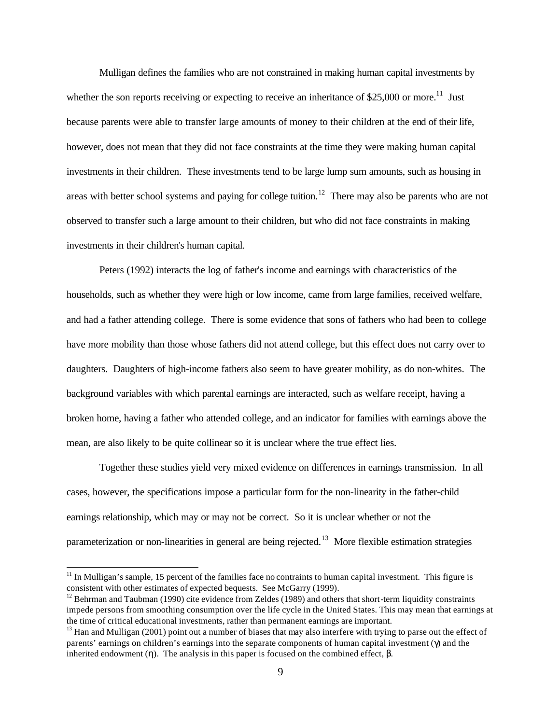Mulligan defines the families who are not constrained in making human capital investments by whether the son reports receiving or expecting to receive an inheritance of \$25,000 or more.<sup>11</sup> Just because parents were able to transfer large amounts of money to their children at the end of their life, however, does not mean that they did not face constraints at the time they were making human capital investments in their children. These investments tend to be large lump sum amounts, such as housing in areas with better school systems and paying for college tuition.<sup>12</sup> There may also be parents who are not observed to transfer such a large amount to their children, but who did not face constraints in making investments in their children's human capital.

Peters (1992) interacts the log of father's income and earnings with characteristics of the households, such as whether they were high or low income, came from large families, received welfare, and had a father attending college. There is some evidence that sons of fathers who had been to college have more mobility than those whose fathers did not attend college, but this effect does not carry over to daughters. Daughters of high-income fathers also seem to have greater mobility, as do non-whites. The background variables with which parental earnings are interacted, such as welfare receipt, having a broken home, having a father who attended college, and an indicator for families with earnings above the mean, are also likely to be quite collinear so it is unclear where the true effect lies.

Together these studies yield very mixed evidence on differences in earnings transmission. In all cases, however, the specifications impose a particular form for the non-linearity in the father-child earnings relationship, which may or may not be correct. So it is unclear whether or not the parameterization or non-linearities in general are being rejected.<sup>13</sup> More flexible estimation strategies

 $11$  In Mulligan's sample, 15 percent of the families face no contraints to human capital investment. This figure is consistent with other estimates of expected bequests. See McGarry (1999).

 $12$  Behrman and Taubman (1990) cite evidence from Zeldes (1989) and others that short-term liquidity constraints impede persons from smoothing consumption over the life cycle in the United States. This may mean that earnings at the time of critical educational investments, rather than permanent earnings are important.

 $13$  Han and Mulligan (2001) point out a number of biases that may also interfere with trying to parse out the effect of parents' earnings on children's earnings into the separate components of human capital investment (γ) and the inherited endowment (η). The analysis in this paper is focused on the combined effect,  $β$ .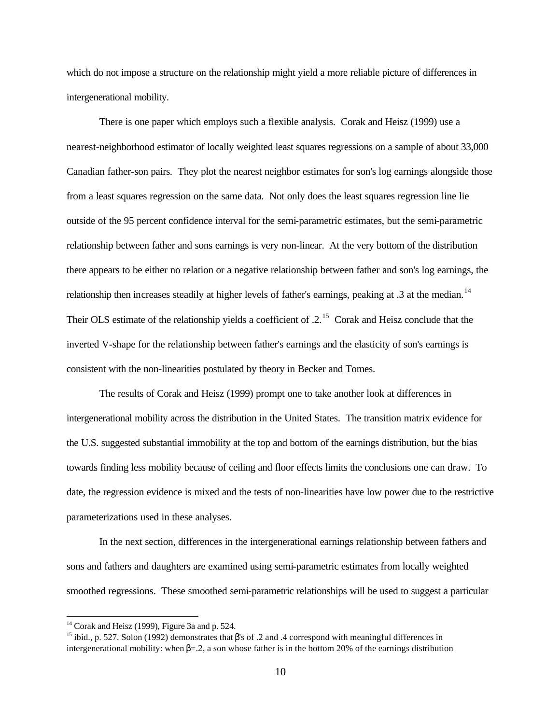which do not impose a structure on the relationship might yield a more reliable picture of differences in intergenerational mobility.

There is one paper which employs such a flexible analysis. Corak and Heisz (1999) use a nearest-neighborhood estimator of locally weighted least squares regressions on a sample of about 33,000 Canadian father-son pairs. They plot the nearest neighbor estimates for son's log earnings alongside those from a least squares regression on the same data. Not only does the least squares regression line lie outside of the 95 percent confidence interval for the semi-parametric estimates, but the semi-parametric relationship between father and sons earnings is very non-linear. At the very bottom of the distribution there appears to be either no relation or a negative relationship between father and son's log earnings, the relationship then increases steadily at higher levels of father's earnings, peaking at .3 at the median.<sup>14</sup> Their OLS estimate of the relationship yields a coefficient of .2.<sup>15</sup> Corak and Heisz conclude that the inverted V-shape for the relationship between father's earnings and the elasticity of son's earnings is consistent with the non-linearities postulated by theory in Becker and Tomes.

The results of Corak and Heisz (1999) prompt one to take another look at differences in intergenerational mobility across the distribution in the United States. The transition matrix evidence for the U.S. suggested substantial immobility at the top and bottom of the earnings distribution, but the bias towards finding less mobility because of ceiling and floor effects limits the conclusions one can draw. To date, the regression evidence is mixed and the tests of non-linearities have low power due to the restrictive parameterizations used in these analyses.

In the next section, differences in the intergenerational earnings relationship between fathers and sons and fathers and daughters are examined using semi-parametric estimates from locally weighted smoothed regressions. These smoothed semi-parametric relationships will be used to suggest a particular

 $14$  Corak and Heisz (1999), Figure 3a and p. 524.

<sup>&</sup>lt;sup>15</sup> ibid., p. 527. Solon (1992) demonstrates that  $\beta$ 's of .2 and .4 correspond with meaningful differences in intergenerational mobility: when  $β = 0.2$ , a son whose father is in the bottom 20% of the earnings distribution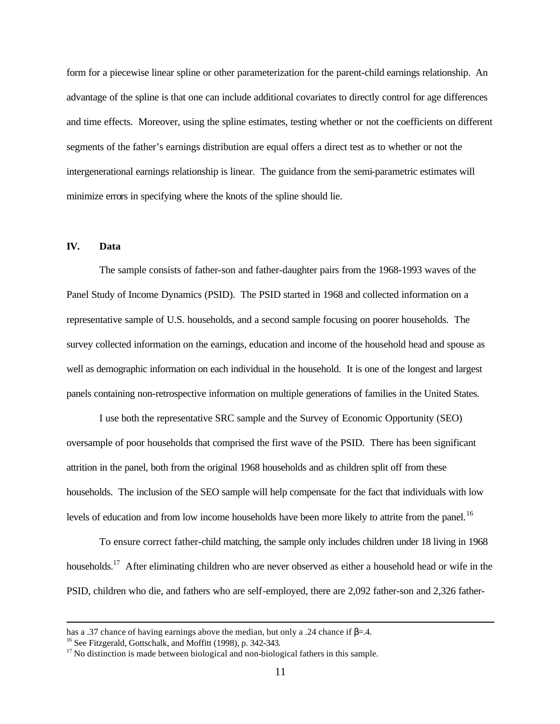form for a piecewise linear spline or other parameterization for the parent-child earnings relationship. An advantage of the spline is that one can include additional covariates to directly control for age differences and time effects. Moreover, using the spline estimates, testing whether or not the coefficients on different segments of the father's earnings distribution are equal offers a direct test as to whether or not the intergenerational earnings relationship is linear. The guidance from the semi-parametric estimates will minimize errors in specifying where the knots of the spline should lie.

## **IV. Data**

l

The sample consists of father-son and father-daughter pairs from the 1968-1993 waves of the Panel Study of Income Dynamics (PSID). The PSID started in 1968 and collected information on a representative sample of U.S. households, and a second sample focusing on poorer households. The survey collected information on the earnings, education and income of the household head and spouse as well as demographic information on each individual in the household. It is one of the longest and largest panels containing non-retrospective information on multiple generations of families in the United States.

I use both the representative SRC sample and the Survey of Economic Opportunity (SEO) oversample of poor households that comprised the first wave of the PSID. There has been significant attrition in the panel, both from the original 1968 households and as children split off from these households. The inclusion of the SEO sample will help compensate for the fact that individuals with low levels of education and from low income households have been more likely to attrite from the panel.<sup>16</sup>

To ensure correct father-child matching, the sample only includes children under 18 living in 1968 households.<sup>17</sup> After eliminating children who are never observed as either a household head or wife in the PSID, children who die, and fathers who are self-employed, there are 2,092 father-son and 2,326 father-

has a .37 chance of having earnings above the median, but only a .24 chance if  $\beta$ =.4.

<sup>&</sup>lt;sup>16</sup> See Fitzgerald, Gottschalk, and Moffitt (1998), p. 342-343.

 $17$  No distinction is made between biological and non-biological fathers in this sample.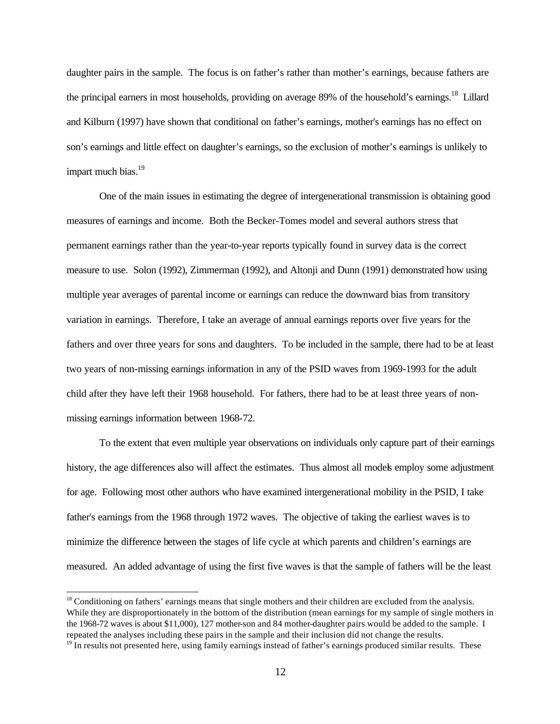daughter pairs in the sample. The focus is on father's rather than mother's earnings, because fathers are the principal earners in most households, providing on average 89% of the household's earnings.<sup>18</sup> Lillard and Kilburn (1997) have shown that conditional on father's earnings, mother's earnings has no effect on son's earnings and little effect on daughter's earnings, so the exclusion of mother's earnings is unlikely to impart much bias.<sup>19</sup>

One of the main issues in estimating the degree of intergenerational transmission is obtaining good measures of earnings and income. Both the Becker-Tomes model and several authors stress that permanent earnings rather than the year-to-year reports typically found in survey data is the correct measure to use. Solon (1992), Zimmerman (1992), and Altonji and Dunn (1991) demonstrated how using multiple year averages of parental income or earnings can reduce the downward bias from transitory variation in earnings. Therefore, I take an average of annual earnings reports over five years for the fathers and over three years for sons and daughters. To be included in the sample, there had to be at least two years of non-missing earnings information in any of the PSID waves from 1969-1993 for the adult child after they have left their 1968 household. For fathers, there had to be at least three years of nonmissing earnings information between 1968-72.

To the extent that even multiple year observations on individuals only capture part of their earnings history, the age differences also will affect the estimates. Thus almost all models employ some adjustment for age. Following most other authors who have examined intergenerational mobility in the PSID, I take father's earnings from the 1968 through 1972 waves. The objective of taking the earliest waves is to minimize the difference between the stages of life cycle at which parents and children's earnings are measured. An added advantage of using the first five waves is that the sample of fathers will be the least

 $<sup>18</sup>$  Conditioning on fathers' earnings means that single mothers and their children are excluded from the analysis.</sup> While they are disproportionately in the bottom of the distribution (mean earnings for my sample of single mothers in the 1968-72 waves is about \$11,000), 127 mother-son and 84 mother-daughter pairs would be added to the sample. I repeated the analyses including these pairs in the sample and their inclusion did not change the results.

 $19$  In results not presented here, using family earnings instead of father's earnings produced similar results. These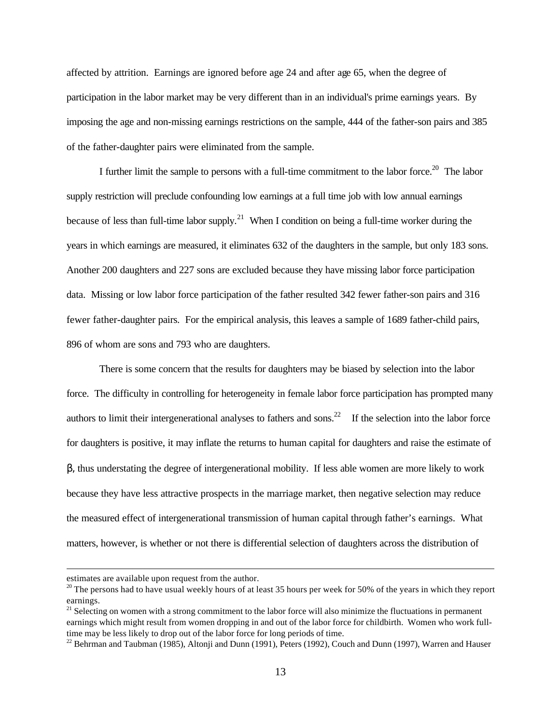affected by attrition. Earnings are ignored before age 24 and after age 65, when the degree of participation in the labor market may be very different than in an individual's prime earnings years. By imposing the age and non-missing earnings restrictions on the sample, 444 of the father-son pairs and 385 of the father-daughter pairs were eliminated from the sample.

I further limit the sample to persons with a full-time commitment to the labor force.<sup>20</sup> The labor supply restriction will preclude confounding low earnings at a full time job with low annual earnings because of less than full-time labor supply.<sup>21</sup> When I condition on being a full-time worker during the years in which earnings are measured, it eliminates 632 of the daughters in the sample, but only 183 sons. Another 200 daughters and 227 sons are excluded because they have missing labor force participation data. Missing or low labor force participation of the father resulted 342 fewer father-son pairs and 316 fewer father-daughter pairs. For the empirical analysis, this leaves a sample of 1689 father-child pairs, 896 of whom are sons and 793 who are daughters.

There is some concern that the results for daughters may be biased by selection into the labor force. The difficulty in controlling for heterogeneity in female labor force participation has prompted many authors to limit their intergenerational analyses to fathers and sons.<sup>22</sup> If the selection into the labor force for daughters is positive, it may inflate the returns to human capital for daughters and raise the estimate of β, thus understating the degree of intergenerational mobility. If less able women are more likely to work because they have less attractive prospects in the marriage market, then negative selection may reduce the measured effect of intergenerational transmission of human capital through father's earnings. What matters, however, is whether or not there is differential selection of daughters across the distribution of

estimates are available upon request from the author.

<sup>&</sup>lt;sup>20</sup> The persons had to have usual weekly hours of at least 35 hours per week for 50% of the years in which they report earnings.

 $21$  Selecting on women with a strong commitment to the labor force will also minimize the fluctuations in permanent earnings which might result from women dropping in and out of the labor force for childbirth. Women who work fulltime may be less likely to drop out of the labor force for long periods of time.

<sup>&</sup>lt;sup>22</sup> Behrman and Taubman (1985), Altonji and Dunn (1991), Peters (1992), Couch and Dunn (1997), Warren and Hauser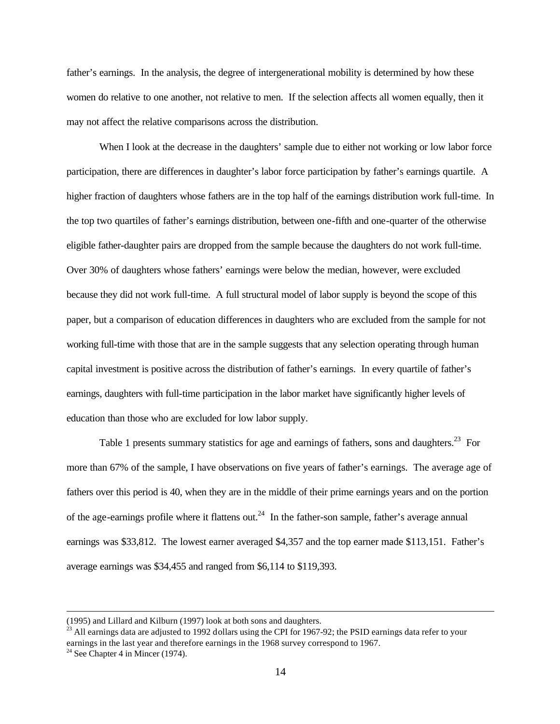father's earnings. In the analysis, the degree of intergenerational mobility is determined by how these women do relative to one another, not relative to men. If the selection affects all women equally, then it may not affect the relative comparisons across the distribution.

When I look at the decrease in the daughters' sample due to either not working or low labor force participation, there are differences in daughter's labor force participation by father's earnings quartile. A higher fraction of daughters whose fathers are in the top half of the earnings distribution work full-time. In the top two quartiles of father's earnings distribution, between one-fifth and one-quarter of the otherwise eligible father-daughter pairs are dropped from the sample because the daughters do not work full-time. Over 30% of daughters whose fathers' earnings were below the median, however, were excluded because they did not work full-time. A full structural model of labor supply is beyond the scope of this paper, but a comparison of education differences in daughters who are excluded from the sample for not working full-time with those that are in the sample suggests that any selection operating through human capital investment is positive across the distribution of father's earnings. In every quartile of father's earnings, daughters with full-time participation in the labor market have significantly higher levels of education than those who are excluded for low labor supply.

Table 1 presents summary statistics for age and earnings of fathers, sons and daughters.<sup>23</sup> For more than 67% of the sample, I have observations on five years of father's earnings. The average age of fathers over this period is 40, when they are in the middle of their prime earnings years and on the portion of the age-earnings profile where it flattens out.<sup>24</sup> In the father-son sample, father's average annual earnings was \$33,812. The lowest earner averaged \$4,357 and the top earner made \$113,151. Father's average earnings was \$34,455 and ranged from \$6,114 to \$119,393.

<sup>(1995)</sup> and Lillard and Kilburn (1997) look at both sons and daughters.

 $^{23}$  All earnings data are adjusted to 1992 dollars using the CPI for 1967-92; the PSID earnings data refer to your earnings in the last year and therefore earnings in the 1968 survey correspond to 1967.

<sup>&</sup>lt;sup>24</sup> See Chapter 4 in Mincer (1974).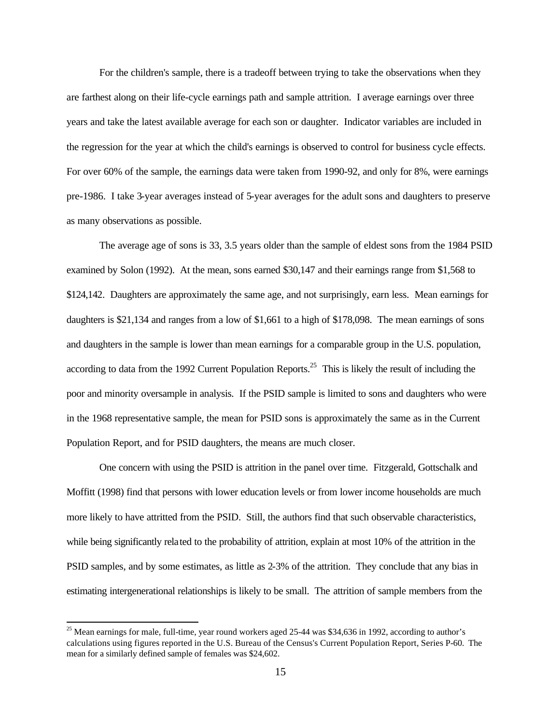For the children's sample, there is a tradeoff between trying to take the observations when they are farthest along on their life-cycle earnings path and sample attrition. I average earnings over three years and take the latest available average for each son or daughter. Indicator variables are included in the regression for the year at which the child's earnings is observed to control for business cycle effects. For over 60% of the sample, the earnings data were taken from 1990-92, and only for 8%, were earnings pre-1986. I take 3-year averages instead of 5-year averages for the adult sons and daughters to preserve as many observations as possible.

The average age of sons is 33, 3.5 years older than the sample of eldest sons from the 1984 PSID examined by Solon (1992). At the mean, sons earned \$30,147 and their earnings range from \$1,568 to \$124,142. Daughters are approximately the same age, and not surprisingly, earn less. Mean earnings for daughters is \$21,134 and ranges from a low of \$1,661 to a high of \$178,098. The mean earnings of sons and daughters in the sample is lower than mean earnings for a comparable group in the U.S. population, according to data from the 1992 Current Population Reports.<sup>25</sup> This is likely the result of including the poor and minority oversample in analysis. If the PSID sample is limited to sons and daughters who were in the 1968 representative sample, the mean for PSID sons is approximately the same as in the Current Population Report, and for PSID daughters, the means are much closer.

One concern with using the PSID is attrition in the panel over time. Fitzgerald, Gottschalk and Moffitt (1998) find that persons with lower education levels or from lower income households are much more likely to have attritted from the PSID. Still, the authors find that such observable characteristics, while being significantly related to the probability of attrition, explain at most 10% of the attrition in the PSID samples, and by some estimates, as little as 2-3% of the attrition. They conclude that any bias in estimating intergenerational relationships is likely to be small. The attrition of sample members from the

<sup>&</sup>lt;sup>25</sup> Mean earnings for male, full-time, year round workers aged 25-44 was \$34,636 in 1992, according to author's calculations using figures reported in the U.S. Bureau of the Census's Current Population Report, Series P-60. The mean for a similarly defined sample of females was \$24,602.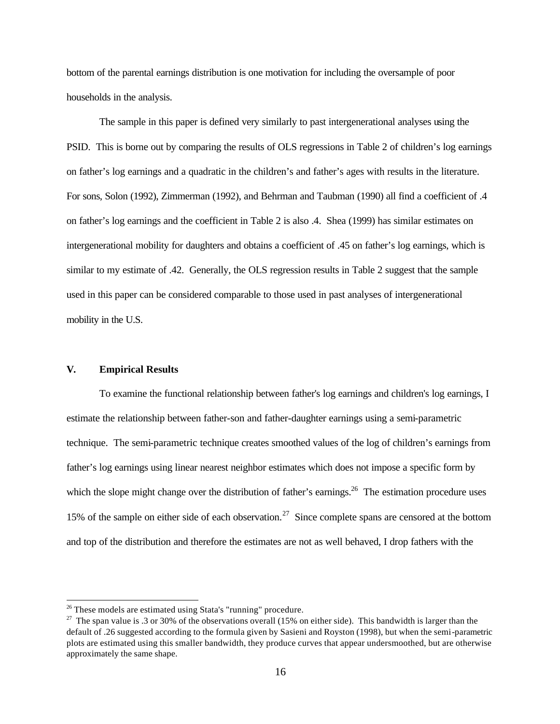bottom of the parental earnings distribution is one motivation for including the oversample of poor households in the analysis.

The sample in this paper is defined very similarly to past intergenerational analyses using the PSID. This is borne out by comparing the results of OLS regressions in Table 2 of children's log earnings on father's log earnings and a quadratic in the children's and father's ages with results in the literature. For sons, Solon (1992), Zimmerman (1992), and Behrman and Taubman (1990) all find a coefficient of .4 on father's log earnings and the coefficient in Table 2 is also .4. Shea (1999) has similar estimates on intergenerational mobility for daughters and obtains a coefficient of .45 on father's log earnings, which is similar to my estimate of .42. Generally, the OLS regression results in Table 2 suggest that the sample used in this paper can be considered comparable to those used in past analyses of intergenerational mobility in the U.S.

### **V. Empirical Results**

l

To examine the functional relationship between father's log earnings and children's log earnings, I estimate the relationship between father-son and father-daughter earnings using a semi-parametric technique. The semi-parametric technique creates smoothed values of the log of children's earnings from father's log earnings using linear nearest neighbor estimates which does not impose a specific form by which the slope might change over the distribution of father's earnings.<sup>26</sup> The estimation procedure uses 15% of the sample on either side of each observation.<sup>27</sup> Since complete spans are censored at the bottom and top of the distribution and therefore the estimates are not as well behaved, I drop fathers with the

<sup>&</sup>lt;sup>26</sup> These models are estimated using Stata's "running" procedure.

<sup>&</sup>lt;sup>27</sup> The span value is .3 or 30% of the observations overall (15% on either side). This bandwidth is larger than the default of .26 suggested according to the formula given by Sasieni and Royston (1998), but when the semi-parametric plots are estimated using this smaller bandwidth, they produce curves that appear undersmoothed, but are otherwise approximately the same shape.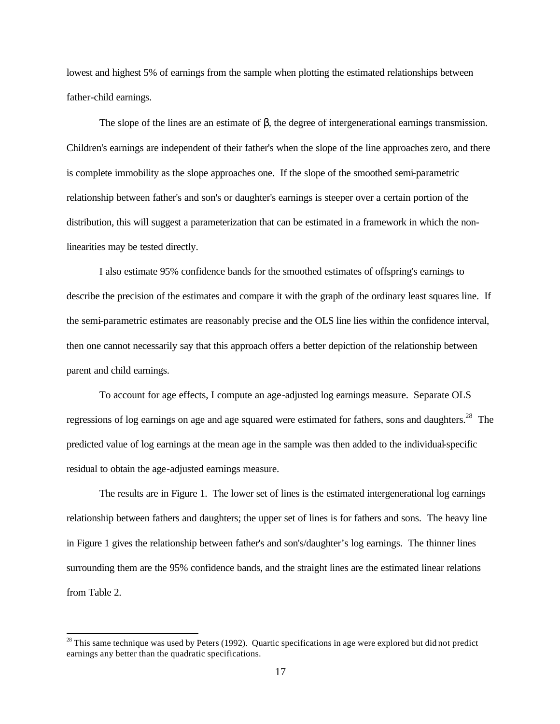lowest and highest 5% of earnings from the sample when plotting the estimated relationships between father-child earnings.

The slope of the lines are an estimate of  $\beta$ , the degree of intergenerational earnings transmission. Children's earnings are independent of their father's when the slope of the line approaches zero, and there is complete immobility as the slope approaches one. If the slope of the smoothed semi-parametric relationship between father's and son's or daughter's earnings is steeper over a certain portion of the distribution, this will suggest a parameterization that can be estimated in a framework in which the nonlinearities may be tested directly.

I also estimate 95% confidence bands for the smoothed estimates of offspring's earnings to describe the precision of the estimates and compare it with the graph of the ordinary least squares line. If the semi-parametric estimates are reasonably precise and the OLS line lies within the confidence interval, then one cannot necessarily say that this approach offers a better depiction of the relationship between parent and child earnings.

To account for age effects, I compute an age-adjusted log earnings measure. Separate OLS regressions of log earnings on age and age squared were estimated for fathers, sons and daughters.<sup>28</sup> The predicted value of log earnings at the mean age in the sample was then added to the individual-specific residual to obtain the age-adjusted earnings measure.

The results are in Figure 1. The lower set of lines is the estimated intergenerational log earnings relationship between fathers and daughters; the upper set of lines is for fathers and sons. The heavy line in Figure 1 gives the relationship between father's and son's/daughter's log earnings. The thinner lines surrounding them are the 95% confidence bands, and the straight lines are the estimated linear relations from Table 2.

 $28$  This same technique was used by Peters (1992). Quartic specifications in age were explored but did not predict earnings any better than the quadratic specifications.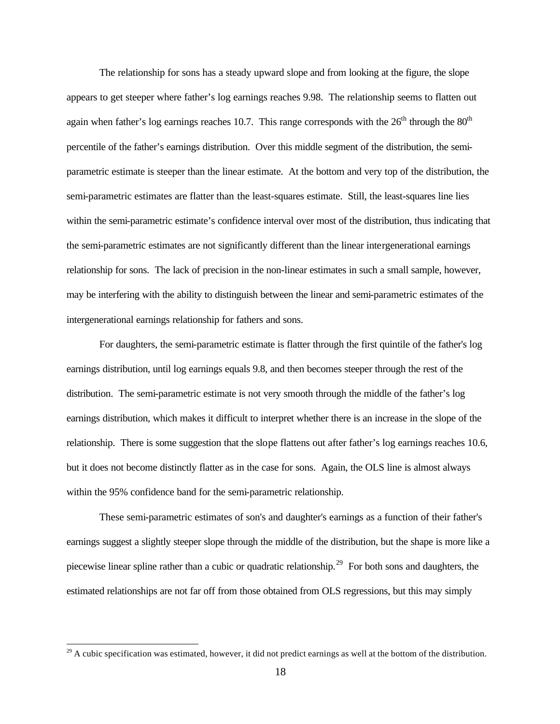The relationship for sons has a steady upward slope and from looking at the figure, the slope appears to get steeper where father's log earnings reaches 9.98. The relationship seems to flatten out again when father's log earnings reaches 10.7. This range corresponds with the  $26<sup>th</sup>$  through the  $80<sup>th</sup>$ percentile of the father's earnings distribution. Over this middle segment of the distribution, the semiparametric estimate is steeper than the linear estimate. At the bottom and very top of the distribution, the semi-parametric estimates are flatter than the least-squares estimate. Still, the least-squares line lies within the semi-parametric estimate's confidence interval over most of the distribution, thus indicating that the semi-parametric estimates are not significantly different than the linear intergenerational earnings relationship for sons. The lack of precision in the non-linear estimates in such a small sample, however, may be interfering with the ability to distinguish between the linear and semi-parametric estimates of the intergenerational earnings relationship for fathers and sons.

For daughters, the semi-parametric estimate is flatter through the first quintile of the father's log earnings distribution, until log earnings equals 9.8, and then becomes steeper through the rest of the distribution. The semi-parametric estimate is not very smooth through the middle of the father's log earnings distribution, which makes it difficult to interpret whether there is an increase in the slope of the relationship. There is some suggestion that the slope flattens out after father's log earnings reaches 10.6, but it does not become distinctly flatter as in the case for sons. Again, the OLS line is almost always within the 95% confidence band for the semi-parametric relationship.

These semi-parametric estimates of son's and daughter's earnings as a function of their father's earnings suggest a slightly steeper slope through the middle of the distribution, but the shape is more like a piecewise linear spline rather than a cubic or quadratic relationship.<sup>29</sup> For both sons and daughters, the estimated relationships are not far off from those obtained from OLS regressions, but this may simply

 $29$  A cubic specification was estimated, however, it did not predict earnings as well at the bottom of the distribution.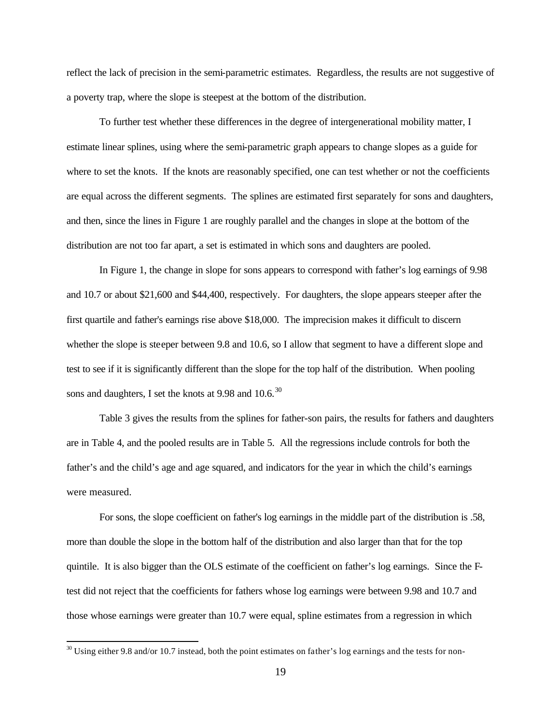reflect the lack of precision in the semi-parametric estimates. Regardless, the results are not suggestive of a poverty trap, where the slope is steepest at the bottom of the distribution.

To further test whether these differences in the degree of intergenerational mobility matter, I estimate linear splines, using where the semi-parametric graph appears to change slopes as a guide for where to set the knots. If the knots are reasonably specified, one can test whether or not the coefficients are equal across the different segments. The splines are estimated first separately for sons and daughters, and then, since the lines in Figure 1 are roughly parallel and the changes in slope at the bottom of the distribution are not too far apart, a set is estimated in which sons and daughters are pooled.

In Figure 1, the change in slope for sons appears to correspond with father's log earnings of 9.98 and 10.7 or about \$21,600 and \$44,400, respectively. For daughters, the slope appears steeper after the first quartile and father's earnings rise above \$18,000. The imprecision makes it difficult to discern whether the slope is steeper between 9.8 and 10.6, so I allow that segment to have a different slope and test to see if it is significantly different than the slope for the top half of the distribution. When pooling sons and daughters, I set the knots at 9.98 and  $10.6^{30}$ 

Table 3 gives the results from the splines for father-son pairs, the results for fathers and daughters are in Table 4, and the pooled results are in Table 5. All the regressions include controls for both the father's and the child's age and age squared, and indicators for the year in which the child's earnings were measured.

For sons, the slope coefficient on father's log earnings in the middle part of the distribution is .58, more than double the slope in the bottom half of the distribution and also larger than that for the top quintile. It is also bigger than the OLS estimate of the coefficient on father's log earnings. Since the Ftest did not reject that the coefficients for fathers whose log earnings were between 9.98 and 10.7 and those whose earnings were greater than 10.7 were equal, spline estimates from a regression in which

 $30$  Using either 9.8 and/or 10.7 instead, both the point estimates on father's log earnings and the tests for non-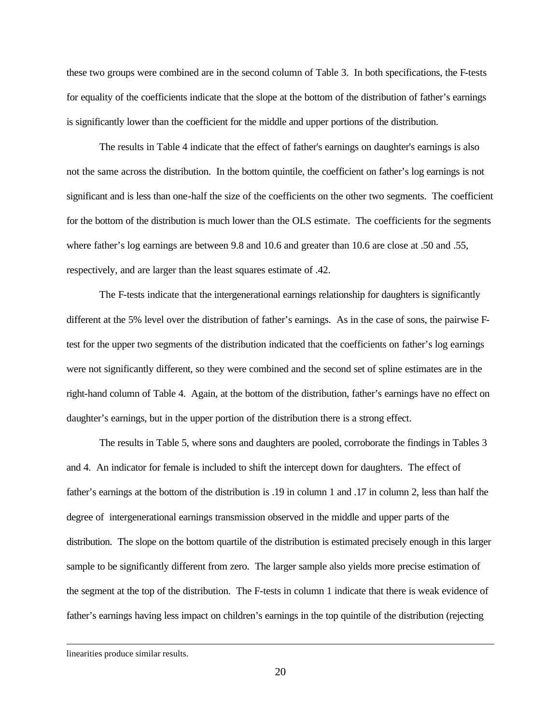these two groups were combined are in the second column of Table 3. In both specifications, the F-tests for equality of the coefficients indicate that the slope at the bottom of the distribution of father's earnings is significantly lower than the coefficient for the middle and upper portions of the distribution.

The results in Table 4 indicate that the effect of father's earnings on daughter's earnings is also not the same across the distribution. In the bottom quintile, the coefficient on father's log earnings is not significant and is less than one-half the size of the coefficients on the other two segments. The coefficient for the bottom of the distribution is much lower than the OLS estimate. The coefficients for the segments where father's log earnings are between 9.8 and 10.6 and greater than 10.6 are close at .50 and .55, respectively, and are larger than the least squares estimate of .42.

The F-tests indicate that the intergenerational earnings relationship for daughters is significantly different at the 5% level over the distribution of father's earnings. As in the case of sons, the pairwise Ftest for the upper two segments of the distribution indicated that the coefficients on father's log earnings were not significantly different, so they were combined and the second set of spline estimates are in the right-hand column of Table 4. Again, at the bottom of the distribution, father's earnings have no effect on daughter's earnings, but in the upper portion of the distribution there is a strong effect.

The results in Table 5, where sons and daughters are pooled, corroborate the findings in Tables 3 and 4. An indicator for female is included to shift the intercept down for daughters. The effect of father's earnings at the bottom of the distribution is .19 in column 1 and .17 in column 2, less than half the degree of intergenerational earnings transmission observed in the middle and upper parts of the distribution. The slope on the bottom quartile of the distribution is estimated precisely enough in this larger sample to be significantly different from zero. The larger sample also yields more precise estimation of the segment at the top of the distribution. The F-tests in column 1 indicate that there is weak evidence of father's earnings having less impact on children's earnings in the top quintile of the distribution (rejecting

linearities produce similar results.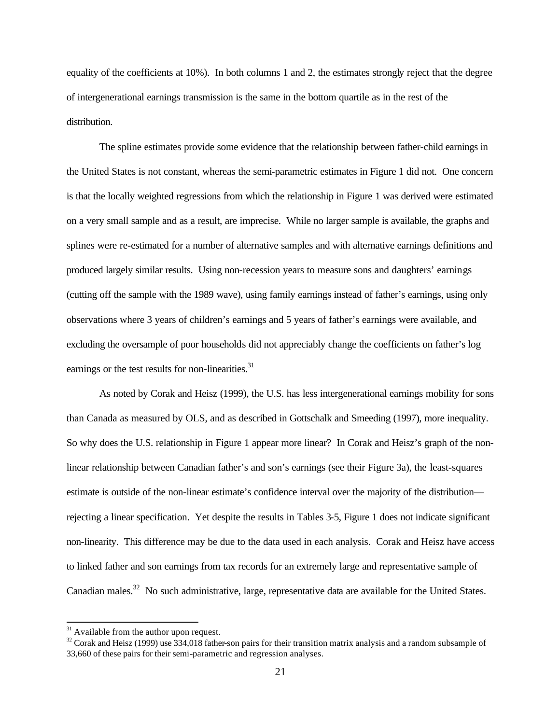equality of the coefficients at 10%). In both columns 1 and 2, the estimates strongly reject that the degree of intergenerational earnings transmission is the same in the bottom quartile as in the rest of the distribution.

The spline estimates provide some evidence that the relationship between father-child earnings in the United States is not constant, whereas the semi-parametric estimates in Figure 1 did not. One concern is that the locally weighted regressions from which the relationship in Figure 1 was derived were estimated on a very small sample and as a result, are imprecise. While no larger sample is available, the graphs and splines were re-estimated for a number of alternative samples and with alternative earnings definitions and produced largely similar results. Using non-recession years to measure sons and daughters' earnings (cutting off the sample with the 1989 wave), using family earnings instead of father's earnings, using only observations where 3 years of children's earnings and 5 years of father's earnings were available, and excluding the oversample of poor households did not appreciably change the coefficients on father's log earnings or the test results for non-linearities.<sup>31</sup>

As noted by Corak and Heisz (1999), the U.S. has less intergenerational earnings mobility for sons than Canada as measured by OLS, and as described in Gottschalk and Smeeding (1997), more inequality. So why does the U.S. relationship in Figure 1 appear more linear? In Corak and Heisz's graph of the nonlinear relationship between Canadian father's and son's earnings (see their Figure 3a), the least-squares estimate is outside of the non-linear estimate's confidence interval over the majority of the distribution rejecting a linear specification. Yet despite the results in Tables 3-5, Figure 1 does not indicate significant non-linearity. This difference may be due to the data used in each analysis. Corak and Heisz have access to linked father and son earnings from tax records for an extremely large and representative sample of Canadian males.<sup>32</sup> No such administrative, large, representative data are available for the United States.

 $31$  Available from the author upon request.

 $32$  Corak and Heisz (1999) use 334,018 father-son pairs for their transition matrix analysis and a random subsample of 33,660 of these pairs for their semi-parametric and regression analyses.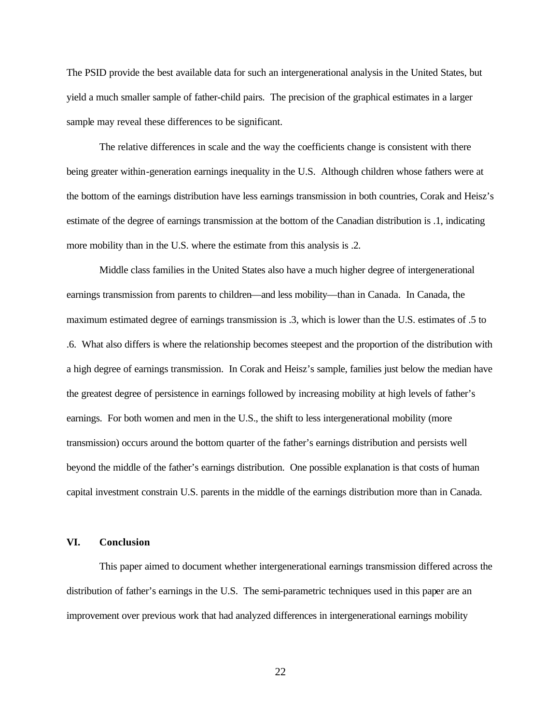The PSID provide the best available data for such an intergenerational analysis in the United States, but yield a much smaller sample of father-child pairs. The precision of the graphical estimates in a larger sample may reveal these differences to be significant.

The relative differences in scale and the way the coefficients change is consistent with there being greater within-generation earnings inequality in the U.S. Although children whose fathers were at the bottom of the earnings distribution have less earnings transmission in both countries, Corak and Heisz's estimate of the degree of earnings transmission at the bottom of the Canadian distribution is .1, indicating more mobility than in the U.S. where the estimate from this analysis is .2.

Middle class families in the United States also have a much higher degree of intergenerational earnings transmission from parents to children—and less mobility—than in Canada. In Canada, the maximum estimated degree of earnings transmission is .3, which is lower than the U.S. estimates of .5 to .6. What also differs is where the relationship becomes steepest and the proportion of the distribution with a high degree of earnings transmission. In Corak and Heisz's sample, families just below the median have the greatest degree of persistence in earnings followed by increasing mobility at high levels of father's earnings. For both women and men in the U.S., the shift to less intergenerational mobility (more transmission) occurs around the bottom quarter of the father's earnings distribution and persists well beyond the middle of the father's earnings distribution. One possible explanation is that costs of human capital investment constrain U.S. parents in the middle of the earnings distribution more than in Canada.

## **VI. Conclusion**

This paper aimed to document whether intergenerational earnings transmission differed across the distribution of father's earnings in the U.S. The semi-parametric techniques used in this paper are an improvement over previous work that had analyzed differences in intergenerational earnings mobility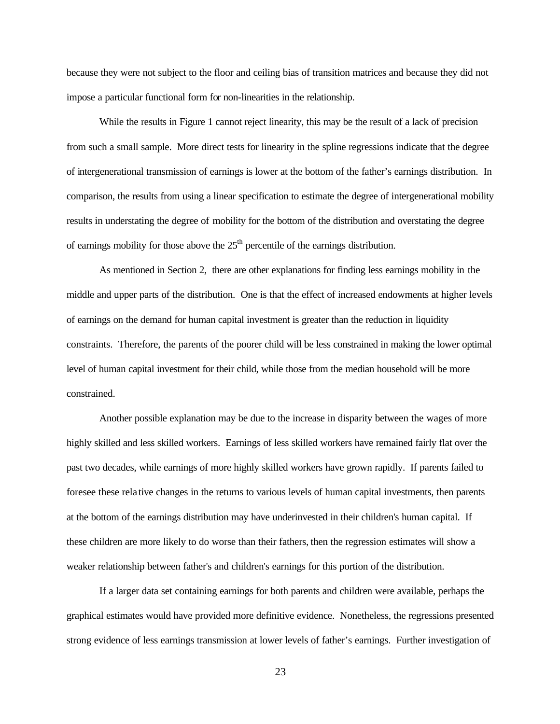because they were not subject to the floor and ceiling bias of transition matrices and because they did not impose a particular functional form for non-linearities in the relationship.

While the results in Figure 1 cannot reject linearity, this may be the result of a lack of precision from such a small sample. More direct tests for linearity in the spline regressions indicate that the degree of intergenerational transmission of earnings is lower at the bottom of the father's earnings distribution. In comparison, the results from using a linear specification to estimate the degree of intergenerational mobility results in understating the degree of mobility for the bottom of the distribution and overstating the degree of earnings mobility for those above the  $25<sup>th</sup>$  percentile of the earnings distribution.

As mentioned in Section 2, there are other explanations for finding less earnings mobility in the middle and upper parts of the distribution. One is that the effect of increased endowments at higher levels of earnings on the demand for human capital investment is greater than the reduction in liquidity constraints. Therefore, the parents of the poorer child will be less constrained in making the lower optimal level of human capital investment for their child, while those from the median household will be more constrained.

Another possible explanation may be due to the increase in disparity between the wages of more highly skilled and less skilled workers. Earnings of less skilled workers have remained fairly flat over the past two decades, while earnings of more highly skilled workers have grown rapidly. If parents failed to foresee these rela tive changes in the returns to various levels of human capital investments, then parents at the bottom of the earnings distribution may have underinvested in their children's human capital. If these children are more likely to do worse than their fathers, then the regression estimates will show a weaker relationship between father's and children's earnings for this portion of the distribution.

If a larger data set containing earnings for both parents and children were available, perhaps the graphical estimates would have provided more definitive evidence. Nonetheless, the regressions presented strong evidence of less earnings transmission at lower levels of father's earnings. Further investigation of

23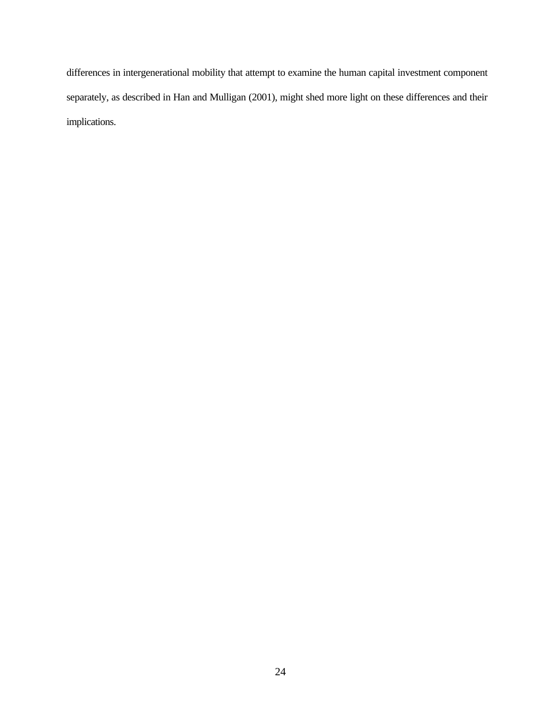differences in intergenerational mobility that attempt to examine the human capital investment component separately, as described in Han and Mulligan (2001), might shed more light on these differences and their implications.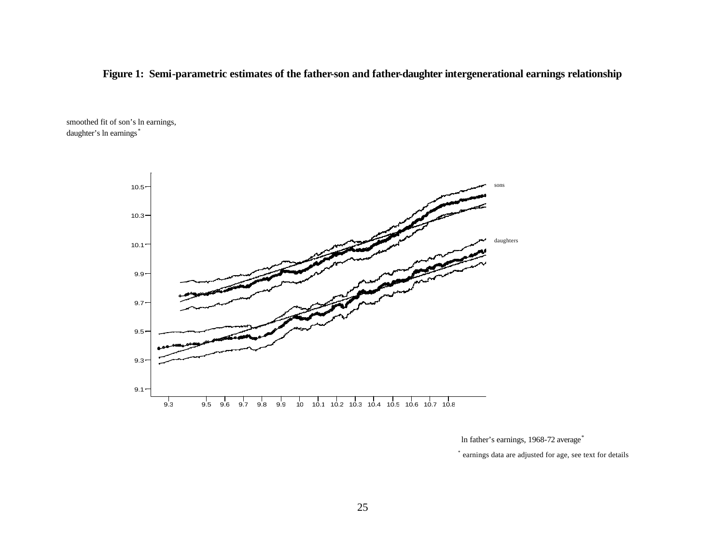## **Figure 1: Semi-parametric estimates of the father-son and father-daughter intergenerational earnings relationship**

smoothed fit of son's ln earnings, daughter's ln earnings\*



ln father's earnings, 1968-72 average\*

\* earnings data are adjusted for age, see text for details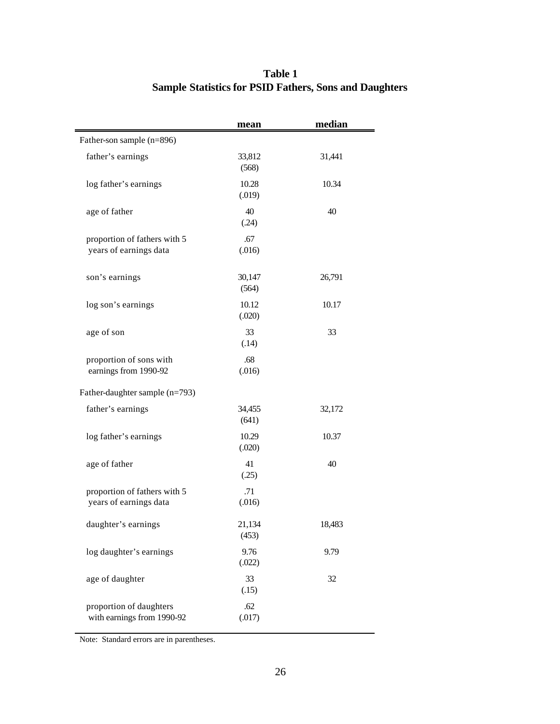|                                                        | mean            | median |
|--------------------------------------------------------|-----------------|--------|
| Father-son sample (n=896)                              |                 |        |
| father's earnings                                      | 33,812<br>(568) | 31,441 |
| log father's earnings                                  | 10.28<br>(.019) | 10.34  |
| age of father                                          | 40<br>(.24)     | 40     |
| proportion of fathers with 5<br>years of earnings data | .67<br>(.016)   |        |
| son's earnings                                         | 30,147<br>(564) | 26,791 |
| log son's earnings                                     | 10.12<br>(.020) | 10.17  |
| age of son                                             | 33<br>(.14)     | 33     |
| proportion of sons with<br>earnings from 1990-92       | .68<br>(.016)   |        |
| Father-daughter sample (n=793)                         |                 |        |
| father's earnings                                      | 34,455<br>(641) | 32,172 |
| log father's earnings                                  | 10.29<br>(.020) | 10.37  |
| age of father                                          | 41<br>(.25)     | 40     |
| proportion of fathers with 5<br>years of earnings data | .71<br>(.016)   |        |
| daughter's earnings                                    | 21,134<br>(453) | 18,483 |
| log daughter's earnings                                | 9.76<br>(.022)  | 9.79   |
| age of daughter                                        | 33<br>(.15)     | 32     |
| proportion of daughters<br>with earnings from 1990-92  | .62<br>(.017)   |        |

# **Table 1 Sample Statistics for PSID Fathers, Sons and Daughters**

Note: Standard errors are in parentheses.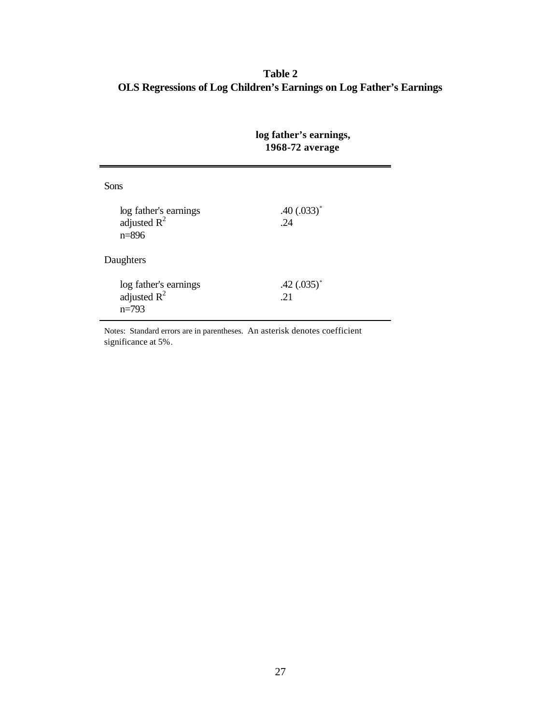**Table 2 OLS Regressions of Log Children's Earnings on Log Father's Earnings**

|                                                      | log father's earnings,<br>1968-72 average |  |  |
|------------------------------------------------------|-------------------------------------------|--|--|
| <b>Sons</b>                                          |                                           |  |  |
| log father's earnings<br>adjusted $R^2$<br>$n = 896$ | $.40(.033)^*$<br>.24                      |  |  |
| Daughters                                            |                                           |  |  |
| log father's earnings<br>adjusted $R^2$<br>$n=793$   | .42 $(.035)^*$<br>.21                     |  |  |

Notes: Standard errors are in parentheses. An asterisk denotes coefficient significance at 5%.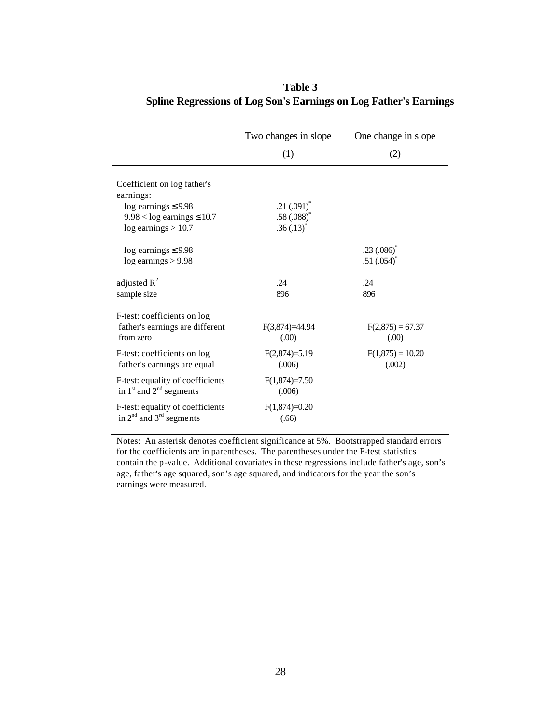|                                                                             | Two changes in slope       | One change in slope             |  |
|-----------------------------------------------------------------------------|----------------------------|---------------------------------|--|
|                                                                             | (1)                        | (2)                             |  |
| Coefficient on log father's<br>earnings:                                    |                            |                                 |  |
| $log$ earnings $\leq$ 9.98                                                  | $.21(.091)^*$              |                                 |  |
| $9.98 < log$ earnings $\leq 10.7$                                           | $.58(.088)^*$              |                                 |  |
| $log$ earnings $> 10.7$                                                     | $.36(.13)^*$               |                                 |  |
| $log$ earnings $\leq$ 9.98<br>$log$ earnings $> 9.98$                       |                            | $.23(.086)^*$<br>.51 $(.054)^*$ |  |
| adjusted $R^2$                                                              | .24                        | .24                             |  |
| sample size                                                                 | 896                        | 896                             |  |
| F-test: coefficients on log<br>father's earnings are different<br>from zero | $F(3,874)=44.94$<br>(0.00) | $F(2,875) = 67.37$<br>(0.00)    |  |
| F-test: coefficients on log<br>father's earnings are equal                  | $F(2,874)=5.19$<br>(.006)  | $F(1,875) = 10.20$<br>(.002)    |  |
| F-test: equality of coefficients<br>in $1st$ and $2nd$ segments             | $F(1,874)=7.50$<br>(.006)  |                                 |  |
| F-test: equality of coefficients<br>in $2^{nd}$ and $3^{rd}$ segments       | $F(1,874)=0.20$<br>(.66)   |                                 |  |

# **Table 3 Spline Regressions of Log Son's Earnings on Log Father's Earnings**

Notes: An asterisk denotes coefficient significance at 5%. Bootstrapped standard errors for the coefficients are in parentheses. The parentheses under the F-test statistics contain the p-value. Additional covariates in these regressions include father's age, son's age, father's age squared, son's age squared, and indicators for the year the son's earnings were measured.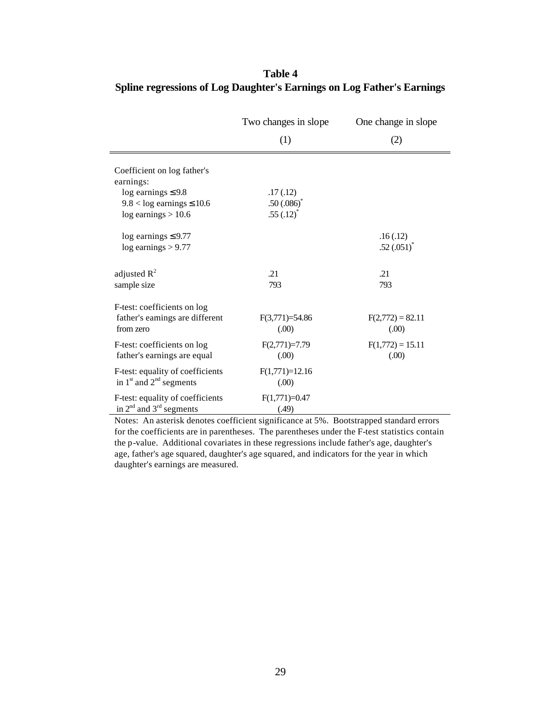|                                                                                                                                      | Two changes in slope                  | One change in slope          |  |
|--------------------------------------------------------------------------------------------------------------------------------------|---------------------------------------|------------------------------|--|
|                                                                                                                                      | (1)                                   | (2)                          |  |
| Coefficient on log father's<br>earnings:<br>$log$ earnings $\leq 9.8$<br>$9.8 < log$ earnings $\leq 10.6$<br>$log$ earnings $> 10.6$ | .17(.12)<br>.50(.086)<br>$.55(.12)^*$ |                              |  |
| $log$ earnings $\leq$ 9.77<br>$log$ earnings $> 9.77$                                                                                |                                       | .16(.12)<br>$.52(.051)^*$    |  |
| adjusted $R^2$<br>sample size                                                                                                        | .21<br>793                            | .21<br>793                   |  |
| F-test: coefficients on log<br>father's earnings are different<br>from zero                                                          | $F(3,771)=54.86$<br>(0.00)            | $F(2,772) = 82.11$<br>(00)   |  |
| F-test: coefficients on log<br>father's earnings are equal                                                                           | $F(2,771)=7.79$<br>(0.00)             | $F(1,772) = 15.11$<br>(0.00) |  |
| F-test: equality of coefficients<br>in $1st$ and $2nd$ segments                                                                      | $F(1,771)=12.16$<br>(0.00)            |                              |  |
| F-test: equality of coefficients<br>in $2nd$ and $3rd$ segments                                                                      | $F(1,771)=0.47$<br>(.49)              |                              |  |

# **Table 4 Spline regressions of Log Daughter's Earnings on Log Father's Earnings**

Notes: An asterisk denotes coefficient significance at 5%. Bootstrapped standard errors for the coefficients are in parentheses. The parentheses under the F-test statistics contain the p-value. Additional covariates in these regressions include father's age, daughter's age, father's age squared, daughter's age squared, and indicators for the year in which daughter's earnings are measured.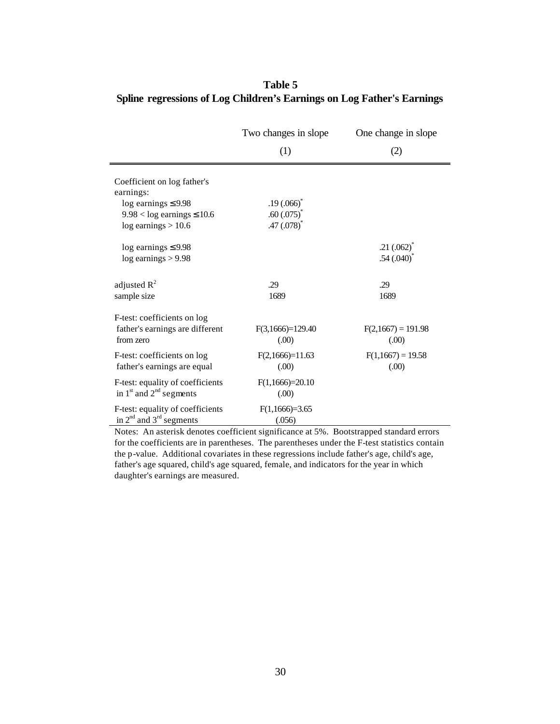|                                                                                                                                        | Two changes in slope                                                   | One change in slope              |  |
|----------------------------------------------------------------------------------------------------------------------------------------|------------------------------------------------------------------------|----------------------------------|--|
|                                                                                                                                        | (1)                                                                    | (2)                              |  |
| Coefficient on log father's<br>earnings:<br>$log$ earnings $\leq$ 9.98<br>$9.98 < log$ earnings $\leq 10.6$<br>$log$ earnings $> 10.6$ | $.19(.066)$ <sup>*</sup><br>$.60(.075)^*$<br>$.47(0.078)$ <sup>*</sup> |                                  |  |
| $log$ earnings $\leq$ 9.98<br>$log$ earnings $> 9.98$                                                                                  |                                                                        | $.21(.062)^{*}$<br>$.54(.040)^*$ |  |
| adjusted $R^2$<br>sample size                                                                                                          | .29<br>1689                                                            | .29<br>1689                      |  |
| F-test: coefficients on log<br>father's earnings are different<br>from zero                                                            | $F(3,1666)=129.40$<br>(0.00)                                           | $F(2,1667) = 191.98$<br>(0.00)   |  |
| F-test: coefficients on log<br>father's earnings are equal                                                                             | $F(2,1666)=11.63$<br>(0.00)                                            | $F(1,1667) = 19.58$<br>(0.00)    |  |
| F-test: equality of coefficients<br>in $1st$ and $2nd$ segments                                                                        | $F(1,1666)=20.10$<br>(00)                                              |                                  |  |
| F-test: equality of coefficients<br>in $2nd$ and $3rd$ segments                                                                        | $F(1,1666)=3.65$<br>(.056)                                             |                                  |  |

# **Table 5 Spline regressions of Log Children's Earnings on Log Father's Earnings**

Notes: An asterisk denotes coefficient significance at 5%. Bootstrapped standard errors for the coefficients are in parentheses. The parentheses under the F-test statistics contain the p-value. Additional covariates in these regressions include father's age, child's age, father's age squared, child's age squared, female, and indicators for the year in which daughter's earnings are measured.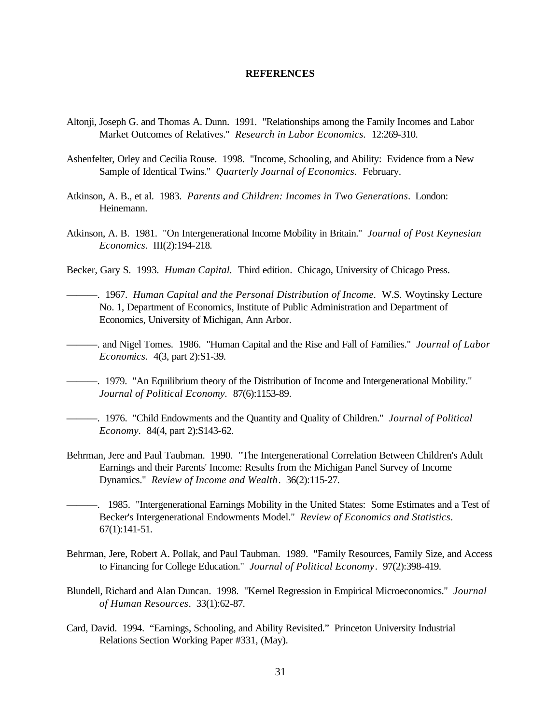#### **REFERENCES**

- Altonji, Joseph G. and Thomas A. Dunn. 1991. "Relationships among the Family Incomes and Labor Market Outcomes of Relatives." *Research in Labor Economics.* 12:269-310.
- Ashenfelter, Orley and Cecilia Rouse. 1998. "Income, Schooling, and Ability: Evidence from a New Sample of Identical Twins." *Quarterly Journal of Economics.* February.
- Atkinson, A. B., et al. 1983. *Parents and Children: Incomes in Two Generations*. London: Heinemann.
- Atkinson, A. B. 1981. "On Intergenerational Income Mobility in Britain." *Journal of Post Keynesian Economics*. III(2):194-218.
- Becker, Gary S. 1993. *Human Capital.* Third edition. Chicago, University of Chicago Press.
- ———. 1967. *Human Capital and the Personal Distribution of Income.* W.S. Woytinsky Lecture No. 1, Department of Economics, Institute of Public Administration and Department of Economics, University of Michigan, Ann Arbor.
- ———. and Nigel Tomes. 1986. "Human Capital and the Rise and Fall of Families." *Journal of Labor Economics.* 4(3, part 2):S1-39.
	- ———. 1979. "An Equilibrium theory of the Distribution of Income and Intergenerational Mobility." *Journal of Political Economy.* 87(6):1153-89.
- ———. 1976. "Child Endowments and the Quantity and Quality of Children." *Journal of Political Economy.* 84(4, part 2):S143-62.
- Behrman, Jere and Paul Taubman. 1990. "The Intergenerational Correlation Between Children's Adult Earnings and their Parents' Income: Results from the Michigan Panel Survey of Income Dynamics." *Review of Income and Wealth*. 36(2):115-27.
- ———. 1985. "Intergenerational Earnings Mobility in the United States: Some Estimates and a Test of Becker's Intergenerational Endowments Model." *Review of Economics and Statistics*. 67(1):141-51.
- Behrman, Jere, Robert A. Pollak, and Paul Taubman. 1989. "Family Resources, Family Size, and Access to Financing for College Education." *Journal of Political Economy*. 97(2):398-419.
- Blundell, Richard and Alan Duncan. 1998. "Kernel Regression in Empirical Microeconomics." *Journal of Human Resources*. 33(1):62-87.
- Card, David. 1994. "Earnings, Schooling, and Ability Revisited." Princeton University Industrial Relations Section Working Paper #331, (May).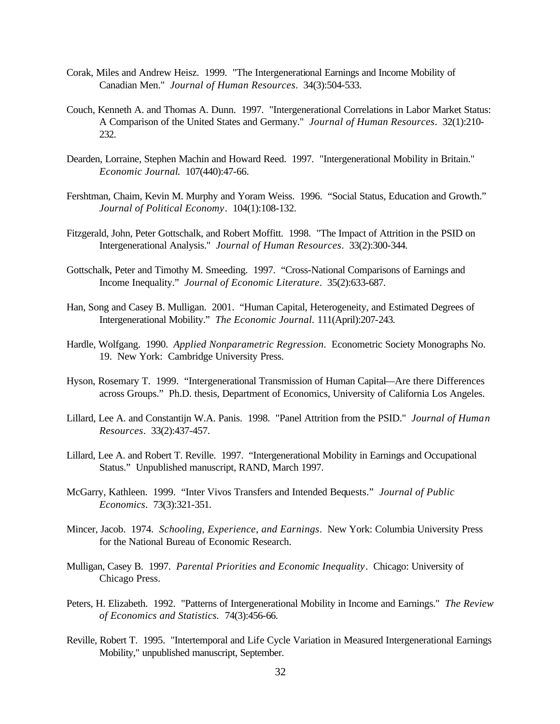- Corak, Miles and Andrew Heisz. 1999. "The Intergenerational Earnings and Income Mobility of Canadian Men." *Journal of Human Resources*. 34(3):504-533.
- Couch, Kenneth A. and Thomas A. Dunn. 1997. "Intergenerational Correlations in Labor Market Status: A Comparison of the United States and Germany." *Journal of Human Resources*. 32(1):210- 232.
- Dearden, Lorraine, Stephen Machin and Howard Reed. 1997. "Intergenerational Mobility in Britain." *Economic Journal*. 107(440):47-66.
- Fershtman, Chaim, Kevin M. Murphy and Yoram Weiss. 1996. "Social Status, Education and Growth." *Journal of Political Economy*. 104(1):108-132.
- Fitzgerald, John, Peter Gottschalk, and Robert Moffitt. 1998. "The Impact of Attrition in the PSID on Intergenerational Analysis." *Journal of Human Resources*. 33(2):300-344.
- Gottschalk, Peter and Timothy M. Smeeding. 1997. "Cross-National Comparisons of Earnings and Income Inequality." *Journal of Economic Literature*. 35(2):633-687.
- Han, Song and Casey B. Mulligan. 2001. "Human Capital, Heterogeneity, and Estimated Degrees of Intergenerational Mobility." *The Economic Journal.* 111(April):207-243.
- Hardle, Wolfgang. 1990. *Applied Nonparametric Regression*. Econometric Society Monographs No. 19. New York: Cambridge University Press.
- Hyson, Rosemary T. 1999. "Intergenerational Transmission of Human Capital—Are there Differences across Groups." Ph.D. thesis, Department of Economics, University of California Los Angeles.
- Lillard, Lee A. and Constantijn W.A. Panis. 1998. "Panel Attrition from the PSID." *Journal of Human Resources*. 33(2):437-457.
- Lillard, Lee A. and Robert T. Reville. 1997. "Intergenerational Mobility in Earnings and Occupational Status." Unpublished manuscript, RAND, March 1997.
- McGarry, Kathleen. 1999. "Inter Vivos Transfers and Intended Bequests." *Journal of Public Economics*. 73(3):321-351.
- Mincer, Jacob. 1974. *Schooling, Experience, and Earnings*. New York: Columbia University Press for the National Bureau of Economic Research.
- Mulligan, Casey B. 1997. *Parental Priorities and Economic Inequality*. Chicago: University of Chicago Press.
- Peters, H. Elizabeth. 1992. "Patterns of Intergenerational Mobility in Income and Earnings." *The Review of Economics and Statistics.* 74(3):456-66.
- Reville, Robert T. 1995. "Intertemporal and Life Cycle Variation in Measured Intergenerational Earnings Mobility," unpublished manuscript, September.